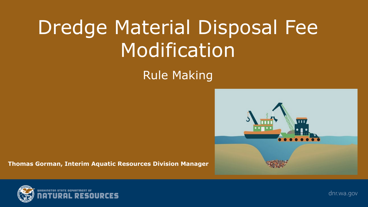# Dredge Material Disposal Fee Modification

#### Rule Making



**Thomas Gorman, Interim Aquatic Resources Division Manager**



dnr.wa.gov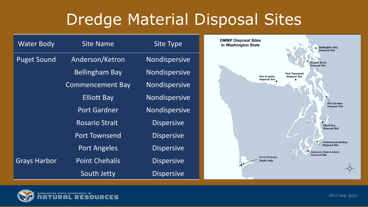### Dredge Material Disposal Sites

| <b>Water Body</b>   | <b>Site Name</b>        | <b>Site Type</b>     |  |
|---------------------|-------------------------|----------------------|--|
| <b>Puget Sound</b>  | Anderson/Ketron         | Nondispersive        |  |
|                     | <b>Bellingham Bay</b>   | Nondispersive        |  |
|                     | <b>Commencement Bay</b> | Nondispersive        |  |
|                     | <b>Elliott Bay</b>      | <b>Nondispersive</b> |  |
|                     | <b>Port Gardner</b>     | Nondispersive        |  |
|                     | <b>Rosario Strait</b>   | <b>Dispersive</b>    |  |
|                     | <b>Port Townsend</b>    | <b>Dispersive</b>    |  |
|                     | <b>Port Angeles</b>     | <b>Dispersive</b>    |  |
| <b>Grays Harbor</b> | <b>Point Chehalis</b>   | <b>Dispersive</b>    |  |
|                     | South Jetty             | <b>Dispersive</b>    |  |



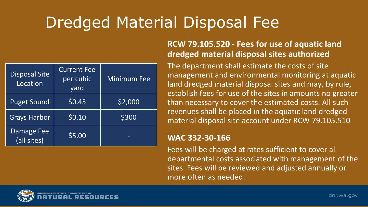## Dredged Material Disposal Fee

| <b>Disposal Site</b><br>Location | <b>Current Fee</b><br>per cubic<br>yard | <b>Minimum Fee</b> |
|----------------------------------|-----------------------------------------|--------------------|
| <b>Puget Sound</b>               | \$0.45                                  | \$2,000            |
| <b>Grays Harbor</b>              | \$0.10                                  | \$300              |
| <b>Damage Fee</b><br>(all sites) | \$5.00                                  |                    |

#### **RCW 79.105.520 - Fees for use of aquatic land dredged material disposal sites authorized**

The department shall estimate the costs of site management and environmental monitoring at aquatic land dredged material disposal sites and may, by rule, establish fees for use of the sites in amounts no greater than necessary to cover the estimated costs. All such revenues shall be placed in the aquatic land dredged material disposal site account under RCW 79.105.510

#### **WAC 332-30-166**

Fees will be charged at rates sufficient to cover all departmental costs associated with management of the sites. Fees will be reviewed and adjusted annually or more often as needed.

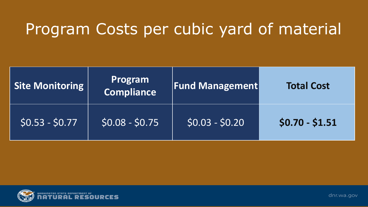### Program Costs per cubic yard of material

| Site Monitoring | Program<br>Compliance | <b>Fund Management</b> |                 |
|-----------------|-----------------------|------------------------|-----------------|
| $50.53 - 50.77$ | $$0.08 - $0.75$       | $$0.03 - $0.20$        | $$0.70 - $1.51$ |



dnr.wa.gov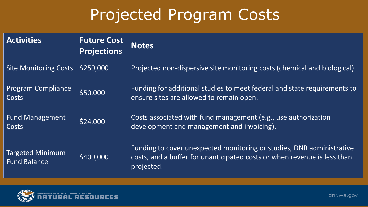### Projected Program Costs

| <b>Activities</b>                              | <b>Future Cost</b><br><b>Projections</b> | <b>Notes</b>                                                                                                                                                    |
|------------------------------------------------|------------------------------------------|-----------------------------------------------------------------------------------------------------------------------------------------------------------------|
| Site Monitoring Costs \$250,000                |                                          | Projected non-dispersive site monitoring costs (chemical and biological).                                                                                       |
| <b>Program Compliance</b><br>Costs             | \$50,000                                 | Funding for additional studies to meet federal and state requirements to<br>ensure sites are allowed to remain open.                                            |
| <b>Fund Management</b><br>Costs                | \$24,000                                 | Costs associated with fund management (e.g., use authorization<br>development and management and invoicing).                                                    |
| <b>Targeted Minimum</b><br><b>Fund Balance</b> | \$400,000                                | Funding to cover unexpected monitoring or studies, DNR administrative<br>costs, and a buffer for unanticipated costs or when revenue is less than<br>projected. |

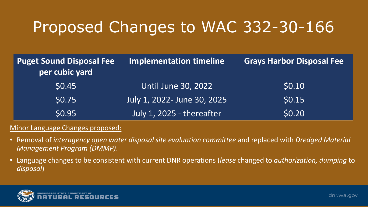## Proposed Changes to WAC 332-30-166

| <b>Puget Sound Disposal Fee</b><br>per cubic yard | <b>Implementation timeline</b> | <b>Grays Harbor Disposal Fee</b> |
|---------------------------------------------------|--------------------------------|----------------------------------|
| \$0.45                                            | <b>Until June 30, 2022</b>     | \$0.10                           |
| \$0.75                                            | July 1, 2022- June 30, 2025    | \$0.15                           |
| <b>\$0.95</b>                                     | July 1, 2025 - thereafter      | \$0.20                           |

#### Minor Language Changes proposed:

- Removal of *interagency open water disposal site evaluation committee* and replaced with *Dredged Material Management Program (DMMP)*.
- Language changes to be consistent with current DNR operations (*lease* changed to *authorization, dumping* to *disposal*)

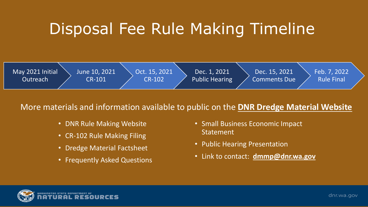### Disposal Fee Rule Making Timeline



#### More materials and information available to public on the **DNR Dredge Material Website**

- DNR Rule Making Website
- CR-102 Rule Making Filing
- Dredge Material Factsheet
- Frequently Asked Questions
- Small Business Economic Impact Statement
- Public Hearing Presentation
- Link to contact: **dmmp@dnr.wa.gov**